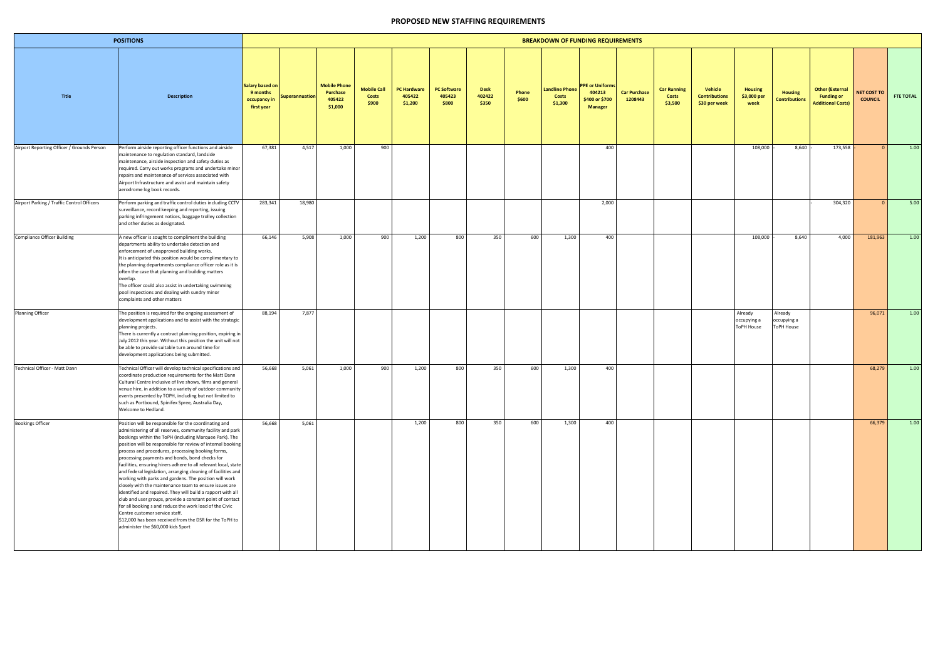| <b>POSITIONS</b>                           |                                                                                                                                                                                                                                                                                                                                                                                                                                                                                                                                                                                                                                                                                                                                                                                                                                                                                                                                       |                                                           |                       |                                                      |                                      |                                         |                                       |                                | <b>BREAKDOWN OF FUNDING REQUIREMENTS</b> |                                   |                                                                      |                                |                                        |                                                  |                                             |                                        |                                                                         |                               |                  |
|--------------------------------------------|---------------------------------------------------------------------------------------------------------------------------------------------------------------------------------------------------------------------------------------------------------------------------------------------------------------------------------------------------------------------------------------------------------------------------------------------------------------------------------------------------------------------------------------------------------------------------------------------------------------------------------------------------------------------------------------------------------------------------------------------------------------------------------------------------------------------------------------------------------------------------------------------------------------------------------------|-----------------------------------------------------------|-----------------------|------------------------------------------------------|--------------------------------------|-----------------------------------------|---------------------------------------|--------------------------------|------------------------------------------|-----------------------------------|----------------------------------------------------------------------|--------------------------------|----------------------------------------|--------------------------------------------------|---------------------------------------------|----------------------------------------|-------------------------------------------------------------------------|-------------------------------|------------------|
| <b>Title</b>                               | <b>Description</b>                                                                                                                                                                                                                                                                                                                                                                                                                                                                                                                                                                                                                                                                                                                                                                                                                                                                                                                    | Salary based on<br>9 months<br>occupancy in<br>first year | <b>Superannuation</b> | <b>Mobile Phone</b><br>Purchase<br>405422<br>\$1,000 | <b>Mobile Call</b><br>Costs<br>\$900 | <b>PC Hardware</b><br>405422<br>\$1,200 | <b>PC Software</b><br>405423<br>\$800 | <b>Desk</b><br>402422<br>\$350 | Phone<br>\$600                           | andline Phone<br>Costs<br>\$1,300 | <b>PPE or Uniforms</b><br>404213<br>\$400 or \$700<br><b>Manager</b> | <b>Car Purchase</b><br>1208443 | <b>Car Running</b><br>Costs<br>\$3,500 | Vehicle<br><b>Contributions</b><br>\$30 per week | <b>Housing</b><br>\$3,000 per<br>week       | <b>Housing</b><br><b>Contributions</b> | <b>Other (External</b><br><b>Funding or</b><br><b>Additional Costs)</b> | NET COST TO<br><b>COUNCIL</b> | <b>FTE TOTAL</b> |
| Airport Reporting Officer / Grounds Person | Perform airside reporting officer functions and airside<br>maintenance to regulation standard, landside<br>maintenance, airside inspection and safety duties as<br>required. Carry out works programs and undertake minor<br>repairs and maintenance of services associated with<br>Airport Infrastructure and assist and maintain safety<br>aerodrome log book records.                                                                                                                                                                                                                                                                                                                                                                                                                                                                                                                                                              | 67,381                                                    | 4,517                 | 1,000                                                | 900                                  |                                         |                                       |                                |                                          |                                   | 400                                                                  |                                |                                        |                                                  | 108,000                                     | 8,640                                  | 173,558                                                                 |                               | 1.00             |
| Airport Parking / Traffic Control Officers | Perform parking and traffic control duties including CCTV<br>surveillance, record keeping and reporting, issuing<br>parking infringement notices, baggage trolley collection<br>and other duties as designated.                                                                                                                                                                                                                                                                                                                                                                                                                                                                                                                                                                                                                                                                                                                       | 283,341                                                   | 18,980                |                                                      |                                      |                                         |                                       |                                |                                          |                                   | 2,000                                                                |                                |                                        |                                                  |                                             |                                        | 304,320                                                                 |                               | 5.00             |
| <b>Compliance Officer Building</b>         | A new officer is sought to compliment the building<br>departments ability to undertake detection and<br>enforcement of unapproved building works.<br>It is anticipated this position would be complimentary to<br>the planning departments compliance officer role as it is<br>often the case that planning and building matters<br>overlap.<br>The officer could also assist in undertaking swimming<br>pool inspections and dealing with sundry minor<br>complaints and other matters                                                                                                                                                                                                                                                                                                                                                                                                                                               | 66,146                                                    | 5,908                 | 1,000                                                | 900                                  | 1,200                                   | 800                                   | 350                            | 600                                      | 1,300                             | 400                                                                  |                                |                                        |                                                  | 108,000                                     | 8,640                                  | 4,000                                                                   | 181,963                       | 1.00             |
| Planning Officer                           | The position is required for the ongoing assessment of<br>development applications and to assist with the strategic<br>planning projects.<br>There is currently a contract planning position, expiring in<br>July 2012 this year. Without this position the unit will not<br>be able to provide suitable turn around time for<br>development applications being submitted.                                                                                                                                                                                                                                                                                                                                                                                                                                                                                                                                                            | 88,194                                                    | 7,877                 |                                                      |                                      |                                         |                                       |                                |                                          |                                   |                                                                      |                                |                                        |                                                  | Already<br>occupying a<br><b>ToPH House</b> | Already<br>occupying a<br>ToPH House   |                                                                         | 96,071                        | 1.00             |
| Technical Officer - Matt Dann              | Technical Officer will develop technical specifications and<br>coordinate production requirements for the Matt Dann<br>Cultural Centre inclusive of live shows, films and general<br>venue hire, in addition to a variety of outdoor community<br>events presented by TOPH, including but not limited to<br>such as Portbound, Spinifex Spree, Australia Day,<br>Welcome to Hedland.                                                                                                                                                                                                                                                                                                                                                                                                                                                                                                                                                  | 56,668                                                    | 5,061                 | 1,000                                                | 900                                  | 1,200                                   | 800                                   | 350                            | 600                                      | 1,300                             | 400                                                                  |                                |                                        |                                                  |                                             |                                        |                                                                         | 68,279                        | 1.00             |
| <b>Bookings Officer</b>                    | Position will be responsible for the coordinating and<br>administering of all reserves, community facility and park<br>bookings within the ToPH (including Marquee Park). The<br>position will be responsible for review of internal booking<br>process and procedures, processing booking forms,<br>processing payments and bonds, bond checks for<br>facilities, ensuring hirers adhere to all relevant local, state<br>and federal legislation, arranging cleaning of facilities and<br>working with parks and gardens. The position will work<br>closely with the maintenance team to ensure issues are<br>identified and repaired. They will build a rapport with all<br>club and user groups, provide a constant point of contact<br>for all booking s and reduce the work load of the Civic<br>Centre customer service staff.<br>\$12,000 has been received from the DSR for the ToPH to<br>administer the \$60,000 kids Sport | 56,668                                                    | 5,061                 |                                                      |                                      | 1,200                                   | 800                                   | 350                            | 600                                      | 1,300                             | 400                                                                  |                                |                                        |                                                  |                                             |                                        |                                                                         | 66,379                        | 1.00             |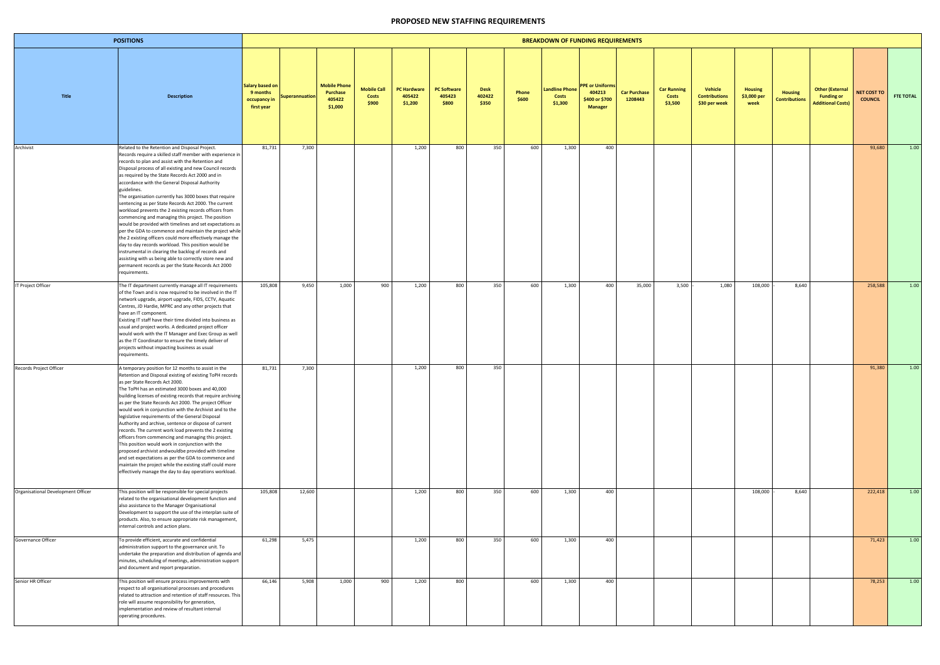| <b>POSITIONS</b>                   |                                                                                                                                                                                                                                                                                                                                                                                                                                                                                                                                                                                                                                                                                                                                                                                                                                                                                                                                                                                                                          |                                                           |                       |                                                             |                                             |                                         |                                       |                                |                | <b>BREAKDOWN OF FUNDING REQUIREMENTS</b> |                                                                      |                                |                                        |                                                  |                                       |                                        |                                                                         |                                      |                  |
|------------------------------------|--------------------------------------------------------------------------------------------------------------------------------------------------------------------------------------------------------------------------------------------------------------------------------------------------------------------------------------------------------------------------------------------------------------------------------------------------------------------------------------------------------------------------------------------------------------------------------------------------------------------------------------------------------------------------------------------------------------------------------------------------------------------------------------------------------------------------------------------------------------------------------------------------------------------------------------------------------------------------------------------------------------------------|-----------------------------------------------------------|-----------------------|-------------------------------------------------------------|---------------------------------------------|-----------------------------------------|---------------------------------------|--------------------------------|----------------|------------------------------------------|----------------------------------------------------------------------|--------------------------------|----------------------------------------|--------------------------------------------------|---------------------------------------|----------------------------------------|-------------------------------------------------------------------------|--------------------------------------|------------------|
| Title                              | <b>Description</b>                                                                                                                                                                                                                                                                                                                                                                                                                                                                                                                                                                                                                                                                                                                                                                                                                                                                                                                                                                                                       | Salary based on<br>9 months<br>occupancy in<br>first year | <b>Superannuation</b> | <b>Mobile Phone</b><br><b>Purchase</b><br>405422<br>\$1,000 | <b>Mobile Call</b><br><b>Costs</b><br>\$900 | <b>PC Hardware</b><br>405422<br>\$1,200 | <b>PC Software</b><br>405423<br>\$800 | <b>Desk</b><br>402422<br>\$350 | Phone<br>\$600 | andline Phone<br>Costs<br>\$1,300        | <b>PPE or Uniforms</b><br>404213<br>\$400 or \$700<br><b>Manager</b> | <b>Car Purchase</b><br>1208443 | <b>Car Running</b><br>Costs<br>\$3,500 | Vehicle<br><b>Contributions</b><br>\$30 per week | <b>Housing</b><br>\$3,000 per<br>week | <b>Housing</b><br><b>Contributions</b> | <b>Other (External</b><br><b>Funding or</b><br><b>Additional Costs)</b> | <b>NET COST TO</b><br><b>COUNCIL</b> | <b>FTE TOTAL</b> |
| Archivist                          | Related to the Retention and Disposal Project.<br>Records require a skilled staff member with experience in<br>records to plan and assist with the Retention and<br>Disposal process of all existing and new Council records<br>as required by the State Records Act 2000 and in<br>accordance with the General Disposal Authority<br>guidelines.<br>The organisation currently has 3000 boxes that require<br>sentencing as per State Records Act 2000. The current<br>workload prevents the 2 existing records officers from<br>commencing and managing this project. The position<br>would be provided with timelines and set expectations as<br>per the GDA to commence and maintain the project while<br>the 2 existing officers could more effectively manage the<br>day to day records workload. This position would be<br>instrumental in clearing the backlog of records and<br>assisting with us being able to correctly store new and<br>permanent records as per the State Records Act 2000<br>requirements. | 81,731                                                    | 7,300                 |                                                             |                                             | 1,200                                   | 800                                   | 350                            | 600            | 1,300                                    | 400                                                                  |                                |                                        |                                                  |                                       |                                        |                                                                         | 93,680                               | 1.00             |
| <b>IT Project Officer</b>          | The IT department currently manage all IT requirements<br>of the Town and is now required to be involved in the IT<br>network upgrade, airport upgrade, FIDS, CCTV, Aquatic<br>Centres, JD Hardie, MPRC and any other projects that<br>have an IT component.<br>Existing IT staff have their time divided into business as<br>usual and project works. A dedicated project officer<br>would work with the IT Manager and Exec Group as well<br>as the IT Coordinator to ensure the timely deliver of<br>projects without impacting business as usual<br>requirements.                                                                                                                                                                                                                                                                                                                                                                                                                                                    | 105,808                                                   | 9,450                 | 1,000                                                       | 900                                         | 1,200                                   | 800                                   | 350                            | 600            | 1,300                                    | 400                                                                  | 35,000                         | 3,500                                  | 1,080                                            | 108,000                               | 8,640                                  |                                                                         | 258,588                              | 1.00             |
| Records Project Officer            | A temporary position for 12 months to assist in the<br>Retention and Disposal existing of existing ToPH records<br>as per State Records Act 2000.<br>The ToPH has an estimated 3000 boxes and 40,000<br>building licenses of existing records that require archiving<br>as per the State Records Act 2000. The project Officer<br>would work in conjunction with the Archivist and to the<br>legislative requirements of the General Disposal<br>Authority and archive, sentence or dispose of current<br>records. The current work load prevents the 2 existing<br>officers from commencing and managing this project.<br>This position would work in conjunction with the<br>proposed archivist andwouldbe provided with timeline<br>and set expectations as per the GDA to commence and<br>maintain the project while the existing staff could more<br>effectively manage the day to day operations workload.                                                                                                         | 81,731                                                    | 7,300                 |                                                             |                                             | 1,200                                   | 800                                   | 350                            |                |                                          |                                                                      |                                |                                        |                                                  |                                       |                                        |                                                                         | 91,380                               | 1.00             |
| Organisational Development Officer | This position will be responsible for special projects<br>related to the organisational development function and<br>also assistance to the Manager Organisational<br>Development to support the use of the interplan suite of<br>products. Also, to ensure appropriate risk management,<br>internal controls and action plans.                                                                                                                                                                                                                                                                                                                                                                                                                                                                                                                                                                                                                                                                                           | 105,808                                                   | 12,600                |                                                             |                                             | 1,200                                   | 800                                   | 350                            | 600            | 1,300                                    | 400                                                                  |                                |                                        |                                                  | 108,000                               | 8,640                                  |                                                                         | 222,418                              | 1.00             |
| Governance Officer                 | To provide efficient, accurate and confidential<br>administration support to the governance unit. To<br>undertake the preparation and distribution of agenda and<br>minutes, scheduling of meetings, administration support<br>and document and report preparation.                                                                                                                                                                                                                                                                                                                                                                                                                                                                                                                                                                                                                                                                                                                                                      | 61,298                                                    | 5,475                 |                                                             |                                             | 1,200                                   | 800                                   | 350                            | 600            | 1,300                                    | 400                                                                  |                                |                                        |                                                  |                                       |                                        |                                                                         | 71,423                               | 1.00             |
| Senior HR Officer                  | This position will ensure process improvements with<br>respect to all organisational processes and procedures<br>related to attraction and retention of staff resources. This<br>role will assume responsibility for generation,<br>implementation and review of resultant internal<br>operating procedures.                                                                                                                                                                                                                                                                                                                                                                                                                                                                                                                                                                                                                                                                                                             | 66,146                                                    | 5,908                 | 1,000                                                       | 900                                         | 1,200                                   | 800                                   |                                | 600            | 1,300                                    | 400                                                                  |                                |                                        |                                                  |                                       |                                        |                                                                         | 78,253                               | 1.00             |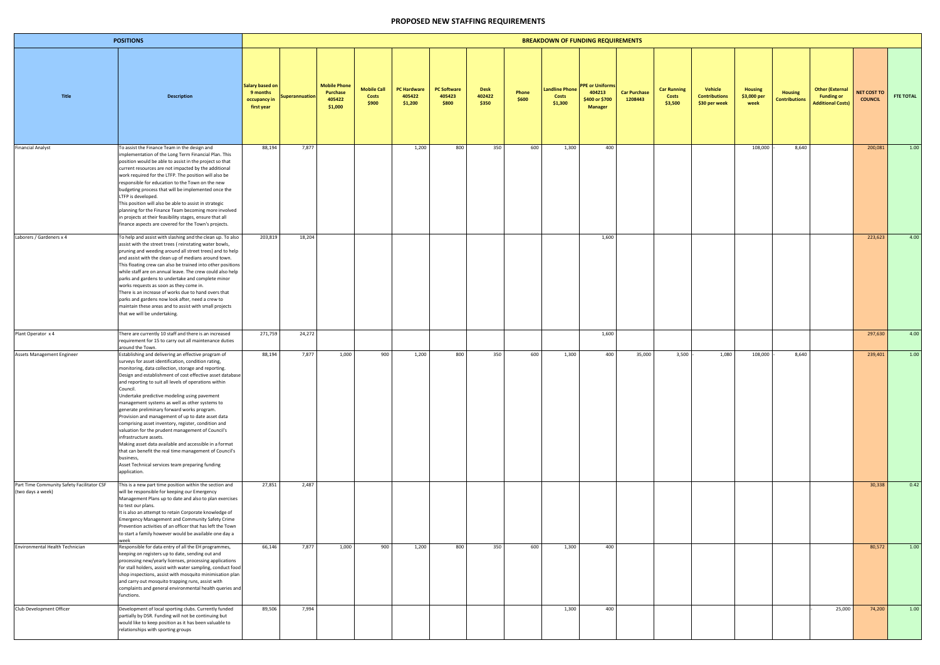| <b>POSITIONS</b>                                                |                                                                                                                                                                                                                                                                                                                                                                                                                                                                                                                                                                                                                                                                                                                                                                                                                                                                         |                                                                  |                       |                                                      |                                             |                                         |                                       |                                |                | <b>BREAKDOWN OF FUNDING REQUIREMENTS</b> |                                                                      |                                |                                        |                                                  |                                       |                                        |                                                                         |                                      |                  |
|-----------------------------------------------------------------|-------------------------------------------------------------------------------------------------------------------------------------------------------------------------------------------------------------------------------------------------------------------------------------------------------------------------------------------------------------------------------------------------------------------------------------------------------------------------------------------------------------------------------------------------------------------------------------------------------------------------------------------------------------------------------------------------------------------------------------------------------------------------------------------------------------------------------------------------------------------------|------------------------------------------------------------------|-----------------------|------------------------------------------------------|---------------------------------------------|-----------------------------------------|---------------------------------------|--------------------------------|----------------|------------------------------------------|----------------------------------------------------------------------|--------------------------------|----------------------------------------|--------------------------------------------------|---------------------------------------|----------------------------------------|-------------------------------------------------------------------------|--------------------------------------|------------------|
| <b>Title</b>                                                    | <b>Description</b>                                                                                                                                                                                                                                                                                                                                                                                                                                                                                                                                                                                                                                                                                                                                                                                                                                                      | <b>Salary based on</b><br>9 months<br>occupancy in<br>first year | <b>Superannuation</b> | <b>Mobile Phone</b><br>Purchase<br>405422<br>\$1,000 | <b>Mobile Call</b><br><b>Costs</b><br>\$900 | <b>PC Hardware</b><br>405422<br>\$1,200 | <b>PC Software</b><br>405423<br>\$800 | <b>Desk</b><br>402422<br>\$350 | Phone<br>\$600 | Landline Phone<br>Costs<br>\$1,300       | <b>PPE or Uniforms</b><br>404213<br>\$400 or \$700<br><b>Manager</b> | <b>Car Purchase</b><br>1208443 | <b>Car Running</b><br>Costs<br>\$3,500 | Vehicle<br><b>Contributions</b><br>\$30 per week | <b>Housing</b><br>\$3,000 per<br>week | <b>Housing</b><br><b>Contributions</b> | <b>Other (External</b><br><b>Funding or</b><br><b>Additional Costs)</b> | <b>NET COST TO</b><br><b>COUNCIL</b> | <b>FTE TOTAL</b> |
| <b>Financial Analyst</b>                                        | To assist the Finance Team in the design and<br>implementation of the Long Term Financial Plan. This<br>position would be able to assist in the project so that<br>current resources are not impacted by the additional<br>work required for the LTFP. The position will also be<br>responsible for education to the Town on the new<br>budgeting process that will be implemented once the<br>LTFP is developed.<br>This position will also be able to assist in strategic<br>planning for the Finance Team becoming more involved<br>in projects at their feasibility stages, ensure that all<br>finance aspects are covered for the Town's projects.                                                                                                                                                                                                                 | 88,194                                                           | 7,877                 |                                                      |                                             | 1,200                                   | 800                                   | 350                            | 600            | 1,300                                    | 400                                                                  |                                |                                        |                                                  | 108,000                               | 8,640                                  |                                                                         | 200,081                              | 1.00             |
| Laborers / Gardeners x 4                                        | To help and assist with slashing and the clean up. To also<br>assist with the street trees (reinstating water bowls,<br>pruning and weeding around all street trees) and to help<br>and assist with the clean up of medians around town.<br>This floating crew can also be trained into other positions<br>while staff are on annual leave. The crew could also help<br>parks and gardens to undertake and complete minor<br>works requests as soon as they come in.<br>There is an increase of works due to hand overs that<br>parks and gardens now look after, need a crew to<br>maintain these areas and to assist with small projects<br>that we will be undertaking.                                                                                                                                                                                              | 203,819                                                          | 18,204                |                                                      |                                             |                                         |                                       |                                |                |                                          | 1,600                                                                |                                |                                        |                                                  |                                       |                                        |                                                                         | 223,623                              | 4.00             |
| Plant Operator x 4                                              | There are currently 10 staff and there is an increased<br>requirement for 15 to carry out all maintenance duties                                                                                                                                                                                                                                                                                                                                                                                                                                                                                                                                                                                                                                                                                                                                                        | 271,759                                                          | 24,272                |                                                      |                                             |                                         |                                       |                                |                |                                          | 1,600                                                                |                                |                                        |                                                  |                                       |                                        |                                                                         | 297,630                              | 4.00             |
| Assets Management Engineer                                      | around the Town.<br>Establishing and delivering an effective program of<br>surveys for asset identification, condition rating,<br>monitoring, data collection, storage and reporting.<br>Design and establishment of cost effective asset database<br>and reporting to suit all levels of operations within<br>Council.<br>Undertake predictive modeling using pavement<br>management systems as well as other systems to<br>generate preliminary forward works program.<br>Provision and management of up to date asset data<br>comprising asset inventory, register, condition and<br>valuation for the prudent management of Council's<br>infrastructure assets.<br>Making asset data available and accessible in a format<br>that can benefit the real time management of Council's<br>business,<br>Asset Technical services team preparing funding<br>application. | 88,194                                                           | 7,877                 | 1,000                                                | 900                                         | 1,200                                   | 800                                   | 350                            | 600            | 1,300                                    | 400                                                                  | 35,000                         | 3,500                                  | 1,080                                            | 108,000                               | 8,640                                  |                                                                         | 239,401                              | 1.00             |
| Part Time Community Safety Facilitator CSF<br>(two days a week) | This is a new part time position within the section and<br>will be responsible for keeping our Emergency<br>Management Plans up to date and also to plan exercises<br>to test our plans.<br>It is also an attempt to retain Corporate knowledge of<br><b>Emergency Management and Community Safety Crime</b><br>Prevention activities of an officer that has left the Town<br>to start a family however would be available one day a<br>week                                                                                                                                                                                                                                                                                                                                                                                                                            | 27,851                                                           | 2,487                 |                                                      |                                             |                                         |                                       |                                |                |                                          |                                                                      |                                |                                        |                                                  |                                       |                                        |                                                                         | 30,338                               | 0.42             |
| Environmental Health Technician                                 | Responsible for data entry of all the EH programmes,<br>keeping on registers up to date, sending out and<br>processing new/yearly licenses, processing applications<br>for stall holders, assist with water sampling, conduct food<br>shop inspections, assist with mosquito minimisation plan<br>and carry out mosquito trapping runs, assist with<br>complaints and general environmental health queries and<br>functions.                                                                                                                                                                                                                                                                                                                                                                                                                                            | 66,146                                                           | 7,877                 | 1,000                                                | 900                                         | 1,200                                   | 800                                   | 350                            | 600            | 1,300                                    | 400                                                                  |                                |                                        |                                                  |                                       |                                        |                                                                         | 80,572                               | 1.00             |
| Club Development Officer                                        | Development of local sporting clubs. Currently funded<br>partially by DSR. Funding will not be continuing but<br>would like to keep position as it has been valuable to<br>relationships with sporting groups                                                                                                                                                                                                                                                                                                                                                                                                                                                                                                                                                                                                                                                           | 89,506                                                           | 7,994                 |                                                      |                                             |                                         |                                       |                                |                | 1,300                                    | 400                                                                  |                                |                                        |                                                  |                                       |                                        | 25,000                                                                  | 74,200                               | 1.00             |